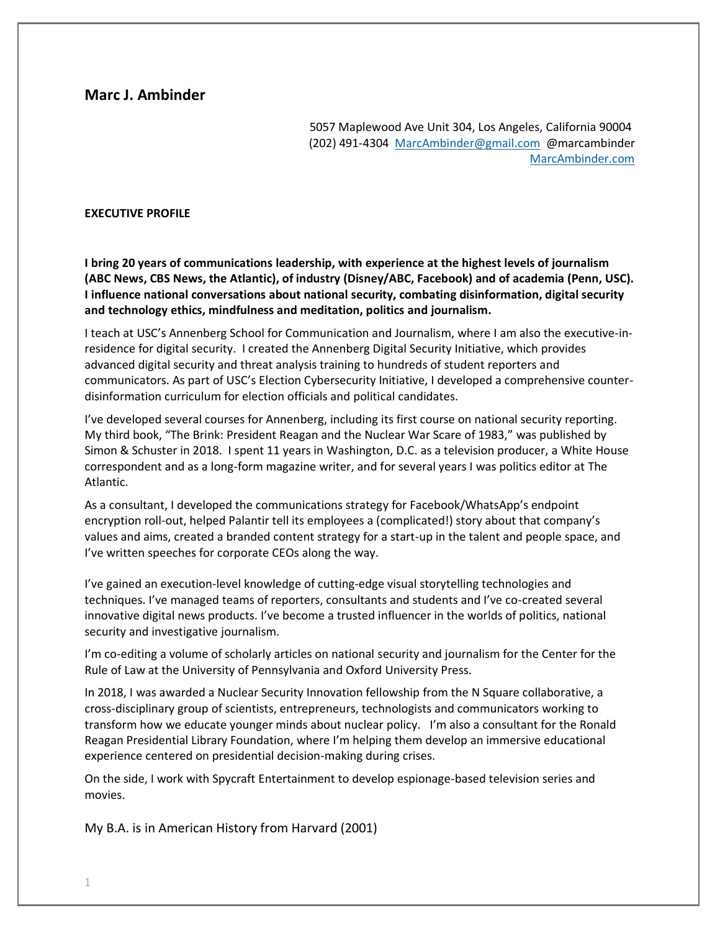# **Marc J. Ambinder**

5057 Maplewood Ave Unit 304, Los Angeles, California 90004 (202) 491-4304 [MarcAmbinder@gmail.com](mailto:MarcAmbinder@gmail.com) @marcambinder [MarcAmbinder.com](https://marcambinder.wordpress.com/)

#### **EXECUTIVE PROFILE**

**I bring 20 years of communications leadership, with experience at the highest levels of journalism (ABC News, CBS News, the Atlantic), of industry (Disney/ABC, Facebook) and of academia (Penn, USC). I influence national conversations about national security, combating disinformation, digital security and technology ethics, mindfulness and meditation, politics and journalism.**

I teach at USC's Annenberg School for Communication and Journalism, where I am also the executive-inresidence for digital security. I created the Annenberg Digital Security Initiative, which provides advanced digital security and threat analysis training to hundreds of student reporters and communicators. As part of USC's Election Cybersecurity Initiative, I developed a comprehensive counterdisinformation curriculum for election officials and political candidates.

I've developed several courses for Annenberg, including its first course on national security reporting. My third book, "The Brink: President Reagan and the Nuclear War Scare of 1983," was published by Simon & Schuster in 2018. I spent 11 years in Washington, D.C. as a television producer, a White House correspondent and as a long-form magazine writer, and for several years I was politics editor at The Atlantic.

As a consultant, I developed the communications strategy for Facebook/WhatsApp's endpoint encryption roll-out, helped Palantir tell its employees a (complicated!) story about that company's values and aims, created a branded content strategy for a start-up in the talent and people space, and I've written speeches for corporate CEOs along the way.

I've gained an execution-level knowledge of cutting-edge visual storytelling technologies and techniques. I've managed teams of reporters, consultants and students and I've co-created several innovative digital news products. I've become a trusted influencer in the worlds of politics, national security and investigative journalism.

I'm co-editing a volume of scholarly articles on national security and journalism for the Center for the Rule of Law at the University of Pennsylvania and Oxford University Press.

In 2018, I was awarded a Nuclear Security Innovation fellowship from the N Square collaborative, a cross-disciplinary group of scientists, entrepreneurs, technologists and communicators working to transform how we educate younger minds about nuclear policy. I'm also a consultant for the Ronald Reagan Presidential Library Foundation, where I'm helping them develop an immersive educational experience centered on presidential decision-making during crises.

On the side, I work with Spycraft Entertainment to develop espionage-based television series and movies.

My B.A. is in American History from Harvard (2001)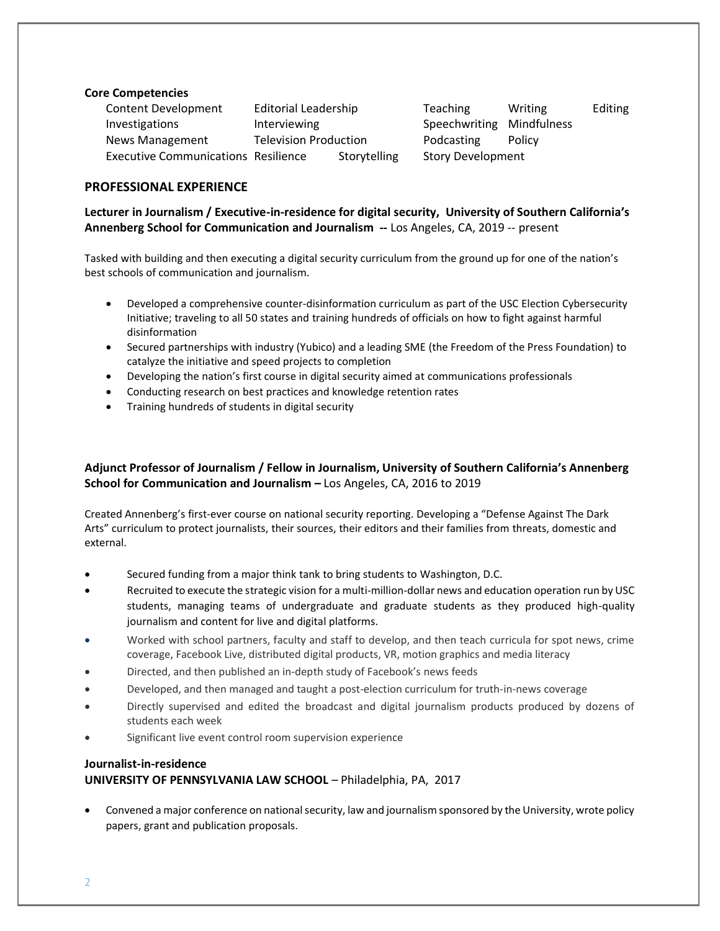#### **Core Competencies**

Content Development Editorial Leadership Teaching Writing Editing Investigations **Interviewing** Speechwriting Mindfulness News Management Television Production Podcasting Policy Executive Communications Resilience Storytelling Story Development

## **PROFESSIONAL EXPERIENCE**

**Lecturer in Journalism / Executive-in-residence for digital security, University of Southern California's Annenberg School for Communication and Journalism --** Los Angeles, CA, 2019 -- present

Tasked with building and then executing a digital security curriculum from the ground up for one of the nation's best schools of communication and journalism.

- Developed a comprehensive counter-disinformation curriculum as part of the USC Election Cybersecurity Initiative; traveling to all 50 states and training hundreds of officials on how to fight against harmful disinformation
- Secured partnerships with industry (Yubico) and a leading SME (the Freedom of the Press Foundation) to catalyze the initiative and speed projects to completion
- Developing the nation's first course in digital security aimed at communications professionals
- Conducting research on best practices and knowledge retention rates
- Training hundreds of students in digital security

## **Adjunct Professor of Journalism / Fellow in Journalism, University of Southern California's Annenberg School for Communication and Journalism –** Los Angeles, CA, 2016 to 2019

Created Annenberg's first-ever course on national security reporting. Developing a "Defense Against The Dark Arts" curriculum to protect journalists, their sources, their editors and their families from threats, domestic and external.

- Secured funding from a major think tank to bring students to Washington, D.C.
- Recruited to execute the strategic vision for a multi-million-dollar news and education operation run by USC students, managing teams of undergraduate and graduate students as they produced high-quality journalism and content for live and digital platforms.
- Worked with school partners, faculty and staff to develop, and then teach curricula for spot news, crime coverage, Facebook Live, distributed digital products, VR, motion graphics and media literacy
- Directed, and then published an in-depth study of Facebook's news feeds
- Developed, and then managed and taught a post-election curriculum for truth-in-news coverage
- Directly supervised and edited the broadcast and digital journalism products produced by dozens of students each week
- Significant live event control room supervision experience

# **Journalist-in-residence**

# **UNIVERSITY OF PENNSYLVANIA LAW SCHOOL** – Philadelphia, PA, 2017

• Convened a major conference on national security, law and journalism sponsored by the University, wrote policy papers, grant and publication proposals.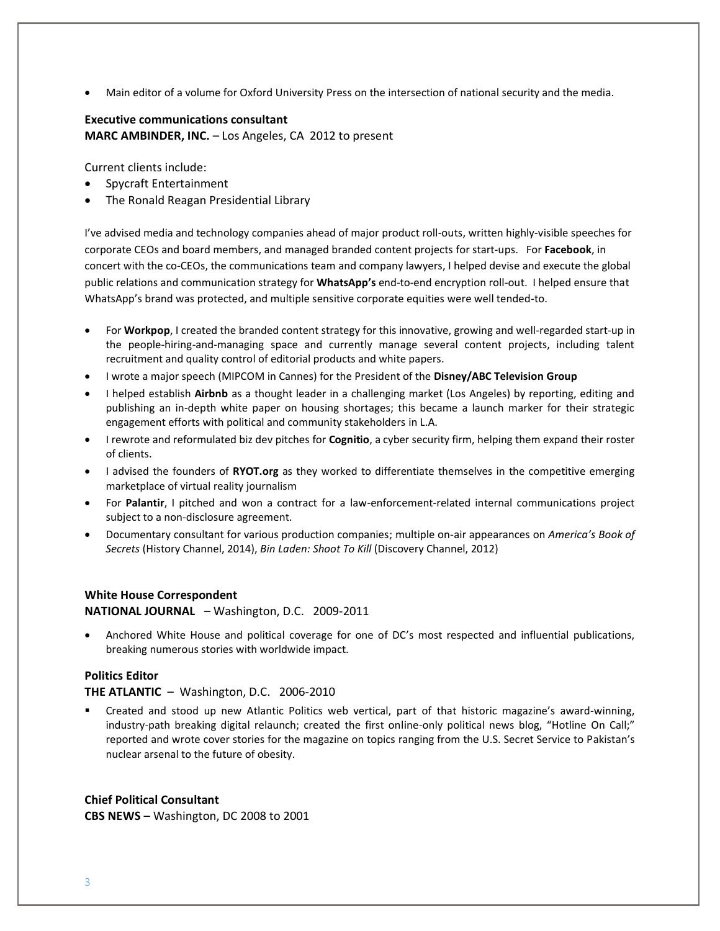• Main editor of a volume for Oxford University Press on the intersection of national security and the media.

# **Executive communications consultant MARC AMBINDER, INC.** – Los Angeles, CA 2012 to present

Current clients include:

- Spycraft Entertainment
- The Ronald Reagan Presidential Library

I've advised media and technology companies ahead of major product roll-outs, written highly-visible speeches for corporate CEOs and board members, and managed branded content projects for start-ups. For **Facebook**, in concert with the co-CEOs, the communications team and company lawyers, I helped devise and execute the global public relations and communication strategy for **WhatsApp's** end-to-end encryption roll-out. I helped ensure that WhatsApp's brand was protected, and multiple sensitive corporate equities were well tended-to.

- For **Workpop**, I created the branded content strategy for this innovative, growing and well-regarded start-up in the people-hiring-and-managing space and currently manage several content projects, including talent recruitment and quality control of editorial products and white papers.
- I wrote a major speech (MIPCOM in Cannes) for the President of the **Disney/ABC Television Group**
- I helped establish **Airbnb** as a thought leader in a challenging market (Los Angeles) by reporting, editing and publishing an in-depth white paper on housing shortages; this became a launch marker for their strategic engagement efforts with political and community stakeholders in L.A.
- I rewrote and reformulated biz dev pitches for **Cognitio**, a cyber security firm, helping them expand their roster of clients.
- I advised the founders of **RYOT.org** as they worked to differentiate themselves in the competitive emerging marketplace of virtual reality journalism
- For **Palantir**, I pitched and won a contract for a law-enforcement-related internal communications project subject to a non-disclosure agreement.
- Documentary consultant for various production companies; multiple on-air appearances on *America's Book of Secrets* (History Channel, 2014), *Bin Laden: Shoot To Kill* (Discovery Channel, 2012)

#### **White House Correspondent**

**NATIONAL JOURNAL** – Washington, D.C. 2009-2011

• Anchored White House and political coverage for one of DC's most respected and influential publications, breaking numerous stories with worldwide impact.

#### **Politics Editor**

#### **THE ATLANTIC** – Washington, D.C. 2006-2010

Created and stood up new Atlantic Politics web vertical, part of that historic magazine's award-winning, industry-path breaking digital relaunch; created the first online-only political news blog, "Hotline On Call;" reported and wrote cover stories for the magazine on topics ranging from the U.S. Secret Service to Pakistan's nuclear arsenal to the future of obesity.

#### **Chief Political Consultant**

**CBS NEWS** – Washington, DC 2008 to 2001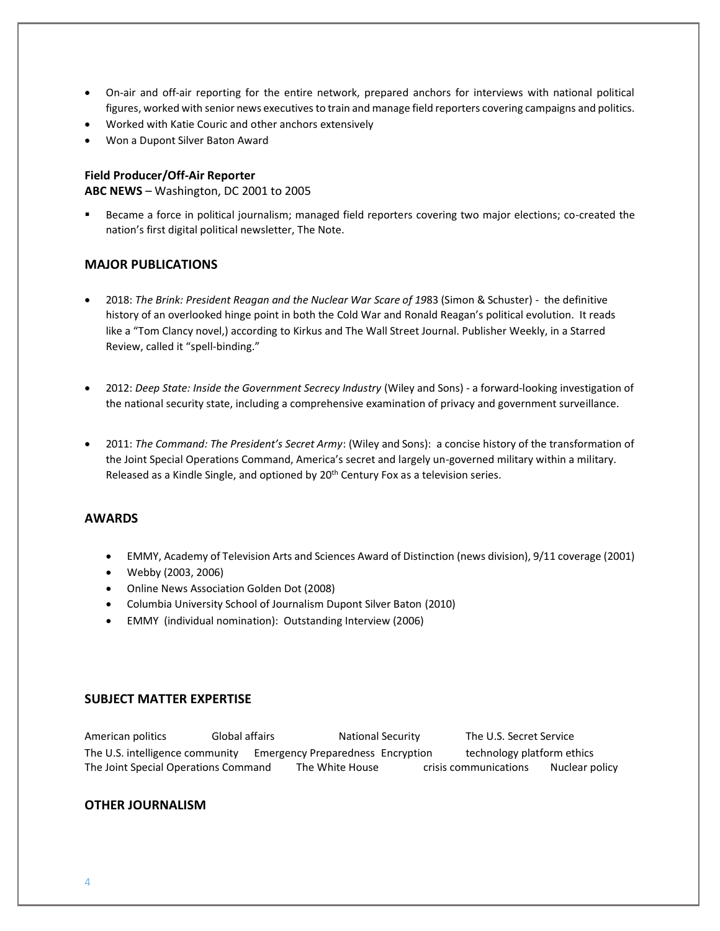- On-air and off-air reporting for the entire network, prepared anchors for interviews with national political figures, worked with senior news executives to train and manage field reporters covering campaigns and politics.
- Worked with Katie Couric and other anchors extensively
- Won a Dupont Silver Baton Award

#### **Field Producer/Off-Air Reporter**

**ABC NEWS** – Washington, DC 2001 to 2005

Became a force in political journalism; managed field reporters covering two major elections; co-created the nation's first digital political newsletter, The Note.

## **MAJOR PUBLICATIONS**

- 2018: *The Brink: President Reagan and the Nuclear War Scare of 19*83 (Simon & Schuster) the definitive history of an overlooked hinge point in both the Cold War and Ronald Reagan's political evolution. It reads like a "Tom Clancy novel,) according to Kirkus and The Wall Street Journal. Publisher Weekly, in a Starred Review, called it "spell-binding."
- 2012: *Deep State: Inside the Government Secrecy Industry* (Wiley and Sons) a forward-looking investigation of the national security state, including a comprehensive examination of privacy and government surveillance.
- 2011: *The Command: The President's Secret Army*: (Wiley and Sons): a concise history of the transformation of the Joint Special Operations Command, America's secret and largely un-governed military within a military. Released as a Kindle Single, and optioned by 20th Century Fox as a television series.

## **AWARDS**

- EMMY, Academy of Television Arts and Sciences Award of Distinction (news division), 9/11 coverage (2001)
- Webby (2003, 2006)
- Online News Association Golden Dot (2008)
- Columbia University School of Journalism Dupont Silver Baton (2010)
- EMMY (individual nomination): Outstanding Interview (2006)

## **SUBJECT MATTER EXPERTISE**

American politics Global affairs National Security The U.S. Secret Service The U.S. intelligence community Emergency Preparedness Encryption technology platform ethics The Joint Special Operations Command The White House crisis communications Nuclear policy

#### **OTHER JOURNALISM**